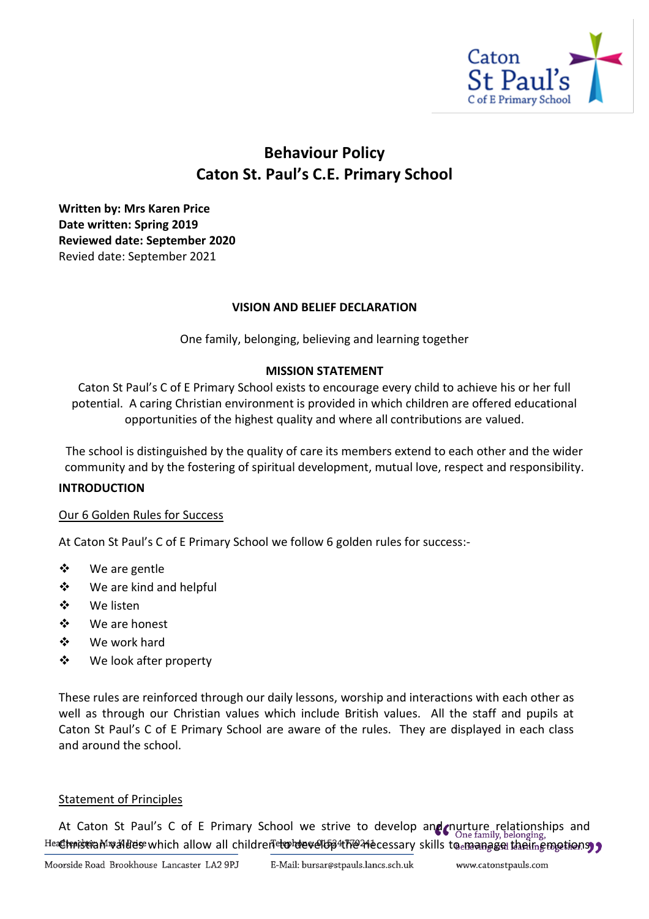

# **Behaviour Policy Caton St. Paul's C.E. Primary School**

**Written by: Mrs Karen Price Date written: Spring 2019 Reviewed date: September 2020** Revied date: September 2021

## **VISION AND BELIEF DECLARATION**

One family, belonging, believing and learning together

#### **MISSION STATEMENT**

Caton St Paul's C of E Primary School exists to encourage every child to achieve his or her full potential. A caring Christian environment is provided in which children are offered educational opportunities of the highest quality and where all contributions are valued.

The school is distinguished by the quality of care its members extend to each other and the wider community and by the fostering of spiritual development, mutual love, respect and responsibility.

#### **INTRODUCTION**

#### Our 6 Golden Rules for Success

At Caton St Paul's C of E Primary School we follow 6 golden rules for success:-

- ❖ We are gentle
- ❖ We are kind and helpful
- ❖ We listen
- ❖ We are honest
- ❖ We work hard
- ❖ We look after property

These rules are reinforced through our daily lessons, worship and interactions with each other as well as through our Christian values which include British values. All the staff and pupils at Caton St Paul's C of E Primary School are aware of the rules. They are displayed in each class and around the school.

#### Statement of Principles

At Caton St Paul's C of E Primary School we strive to develop and nurture relationships and Headtraistian Mwaldes which allow all children to develop 4the 24 ecessary skills to manage their emotions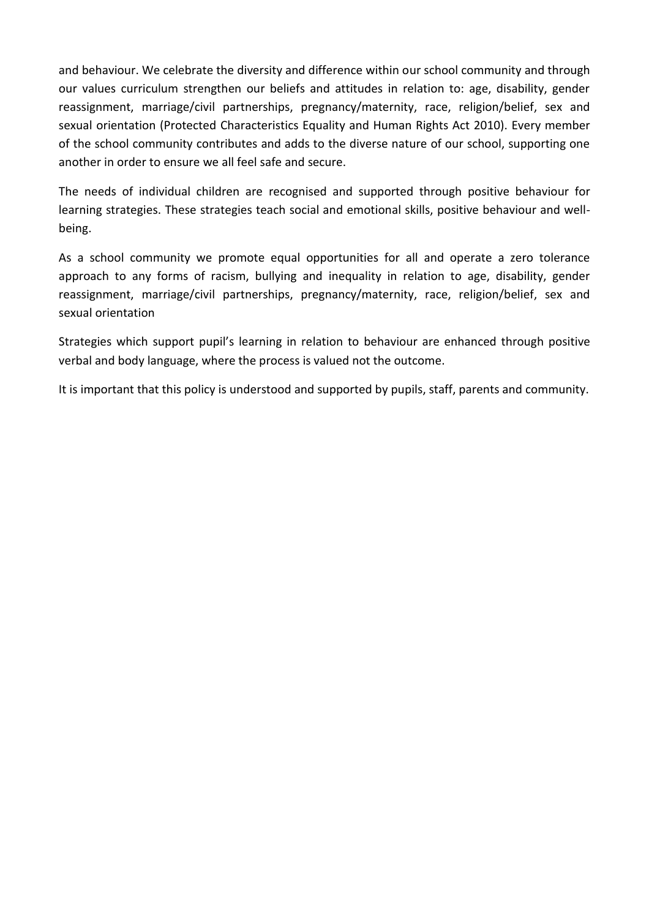and behaviour. We celebrate the diversity and difference within our school community and through our values curriculum strengthen our beliefs and attitudes in relation to: age, disability, gender reassignment, marriage/civil partnerships, pregnancy/maternity, race, religion/belief, sex and sexual orientation (Protected Characteristics Equality and Human Rights Act 2010). Every member of the school community contributes and adds to the diverse nature of our school, supporting one another in order to ensure we all feel safe and secure.

The needs of individual children are recognised and supported through positive behaviour for learning strategies. These strategies teach social and emotional skills, positive behaviour and wellbeing.

As a school community we promote equal opportunities for all and operate a zero tolerance approach to any forms of racism, bullying and inequality in relation to age, disability, gender reassignment, marriage/civil partnerships, pregnancy/maternity, race, religion/belief, sex and sexual orientation

Strategies which support pupil's learning in relation to behaviour are enhanced through positive verbal and body language, where the process is valued not the outcome.

It is important that this policy is understood and supported by pupils, staff, parents and community.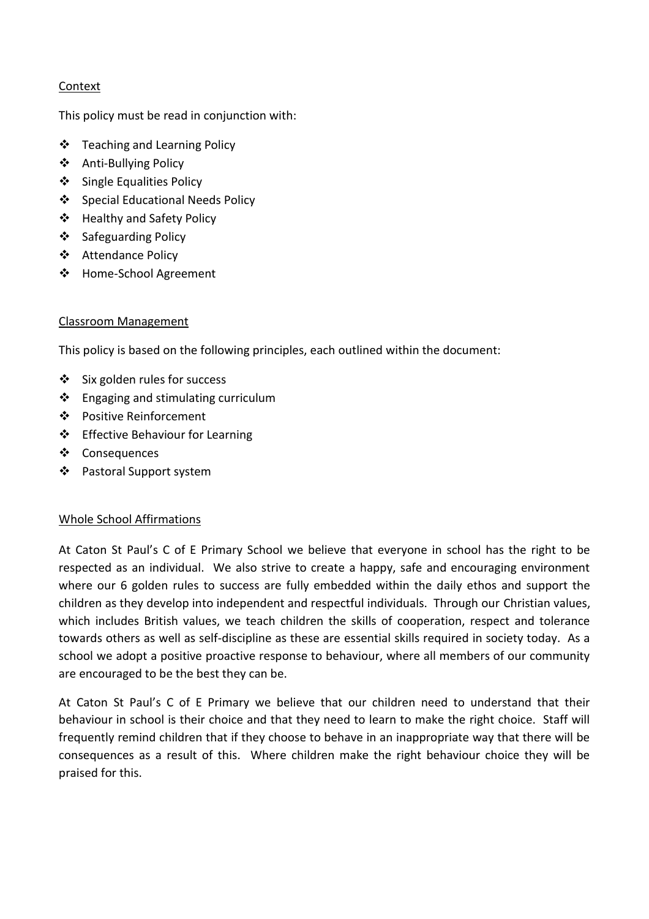# Context

This policy must be read in conjunction with:

- ❖ Teaching and Learning Policy
- ❖ Anti-Bullying Policy
- ❖ Single Equalities Policy
- ❖ Special Educational Needs Policy
- ❖ Healthy and Safety Policy
- ❖ Safeguarding Policy
- ❖ Attendance Policy
- ❖ Home-School Agreement

## Classroom Management

This policy is based on the following principles, each outlined within the document:

- ❖ Six golden rules for success
- ❖ Engaging and stimulating curriculum
- ❖ Positive Reinforcement
- ❖ Effective Behaviour for Learning
- ❖ Consequences
- ❖ Pastoral Support system

## Whole School Affirmations

At Caton St Paul's C of E Primary School we believe that everyone in school has the right to be respected as an individual. We also strive to create a happy, safe and encouraging environment where our 6 golden rules to success are fully embedded within the daily ethos and support the children as they develop into independent and respectful individuals. Through our Christian values, which includes British values, we teach children the skills of cooperation, respect and tolerance towards others as well as self-discipline as these are essential skills required in society today. As a school we adopt a positive proactive response to behaviour, where all members of our community are encouraged to be the best they can be.

At Caton St Paul's C of E Primary we believe that our children need to understand that their behaviour in school is their choice and that they need to learn to make the right choice. Staff will frequently remind children that if they choose to behave in an inappropriate way that there will be consequences as a result of this. Where children make the right behaviour choice they will be praised for this.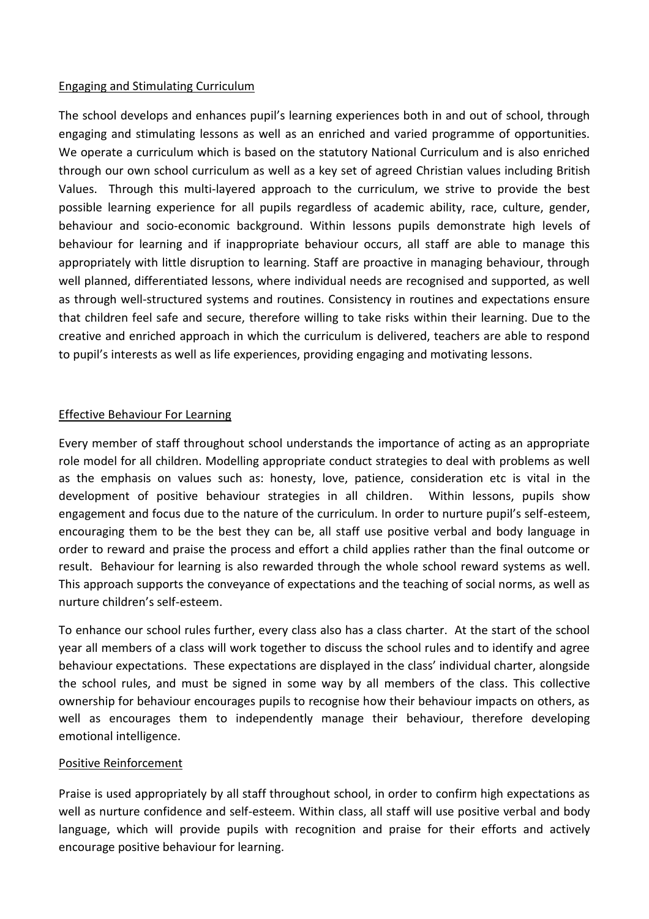## Engaging and Stimulating Curriculum

The school develops and enhances pupil's learning experiences both in and out of school, through engaging and stimulating lessons as well as an enriched and varied programme of opportunities. We operate a curriculum which is based on the statutory National Curriculum and is also enriched through our own school curriculum as well as a key set of agreed Christian values including British Values. Through this multi-layered approach to the curriculum, we strive to provide the best possible learning experience for all pupils regardless of academic ability, race, culture, gender, behaviour and socio-economic background. Within lessons pupils demonstrate high levels of behaviour for learning and if inappropriate behaviour occurs, all staff are able to manage this appropriately with little disruption to learning. Staff are proactive in managing behaviour, through well planned, differentiated lessons, where individual needs are recognised and supported, as well as through well-structured systems and routines. Consistency in routines and expectations ensure that children feel safe and secure, therefore willing to take risks within their learning. Due to the creative and enriched approach in which the curriculum is delivered, teachers are able to respond to pupil's interests as well as life experiences, providing engaging and motivating lessons.

## Effective Behaviour For Learning

Every member of staff throughout school understands the importance of acting as an appropriate role model for all children. Modelling appropriate conduct strategies to deal with problems as well as the emphasis on values such as: honesty, love, patience, consideration etc is vital in the development of positive behaviour strategies in all children. Within lessons, pupils show engagement and focus due to the nature of the curriculum. In order to nurture pupil's self-esteem, encouraging them to be the best they can be, all staff use positive verbal and body language in order to reward and praise the process and effort a child applies rather than the final outcome or result. Behaviour for learning is also rewarded through the whole school reward systems as well. This approach supports the conveyance of expectations and the teaching of social norms, as well as nurture children's self-esteem.

To enhance our school rules further, every class also has a class charter. At the start of the school year all members of a class will work together to discuss the school rules and to identify and agree behaviour expectations. These expectations are displayed in the class' individual charter, alongside the school rules, and must be signed in some way by all members of the class. This collective ownership for behaviour encourages pupils to recognise how their behaviour impacts on others, as well as encourages them to independently manage their behaviour, therefore developing emotional intelligence.

#### Positive Reinforcement

Praise is used appropriately by all staff throughout school, in order to confirm high expectations as well as nurture confidence and self-esteem. Within class, all staff will use positive verbal and body language, which will provide pupils with recognition and praise for their efforts and actively encourage positive behaviour for learning.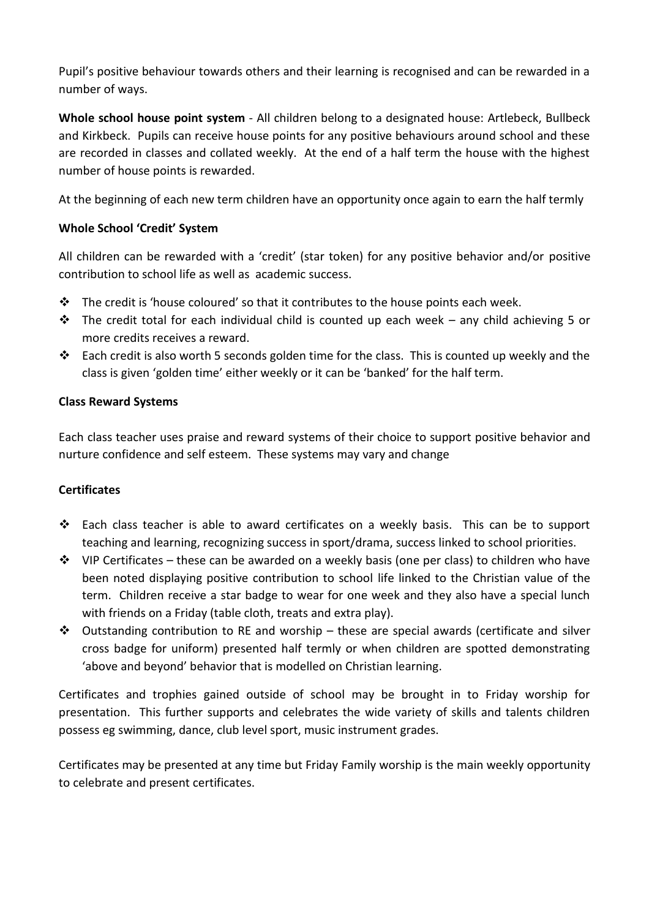Pupil's positive behaviour towards others and their learning is recognised and can be rewarded in a number of ways.

**Whole school house point system** - All children belong to a designated house: Artlebeck, Bullbeck and Kirkbeck. Pupils can receive house points for any positive behaviours around school and these are recorded in classes and collated weekly. At the end of a half term the house with the highest number of house points is rewarded.

At the beginning of each new term children have an opportunity once again to earn the half termly

# **Whole School 'Credit' System**

All children can be rewarded with a 'credit' (star token) for any positive behavior and/or positive contribution to school life as well as academic success.

- $\clubsuit$  The credit is 'house coloured' so that it contributes to the house points each week.
- ❖ The credit total for each individual child is counted up each week any child achieving 5 or more credits receives a reward.
- ❖ Each credit is also worth 5 seconds golden time for the class. This is counted up weekly and the class is given 'golden time' either weekly or it can be 'banked' for the half term.

## **Class Reward Systems**

Each class teacher uses praise and reward systems of their choice to support positive behavior and nurture confidence and self esteem. These systems may vary and change

## **Certificates**

- ❖ Each class teacher is able to award certificates on a weekly basis. This can be to support teaching and learning, recognizing success in sport/drama, success linked to school priorities.
- $\dots$  VIP Certificates these can be awarded on a weekly basis (one per class) to children who have been noted displaying positive contribution to school life linked to the Christian value of the term. Children receive a star badge to wear for one week and they also have a special lunch with friends on a Friday (table cloth, treats and extra play).
- ❖ Outstanding contribution to RE and worship these are special awards (certificate and silver cross badge for uniform) presented half termly or when children are spotted demonstrating 'above and beyond' behavior that is modelled on Christian learning.

Certificates and trophies gained outside of school may be brought in to Friday worship for presentation. This further supports and celebrates the wide variety of skills and talents children possess eg swimming, dance, club level sport, music instrument grades.

Certificates may be presented at any time but Friday Family worship is the main weekly opportunity to celebrate and present certificates.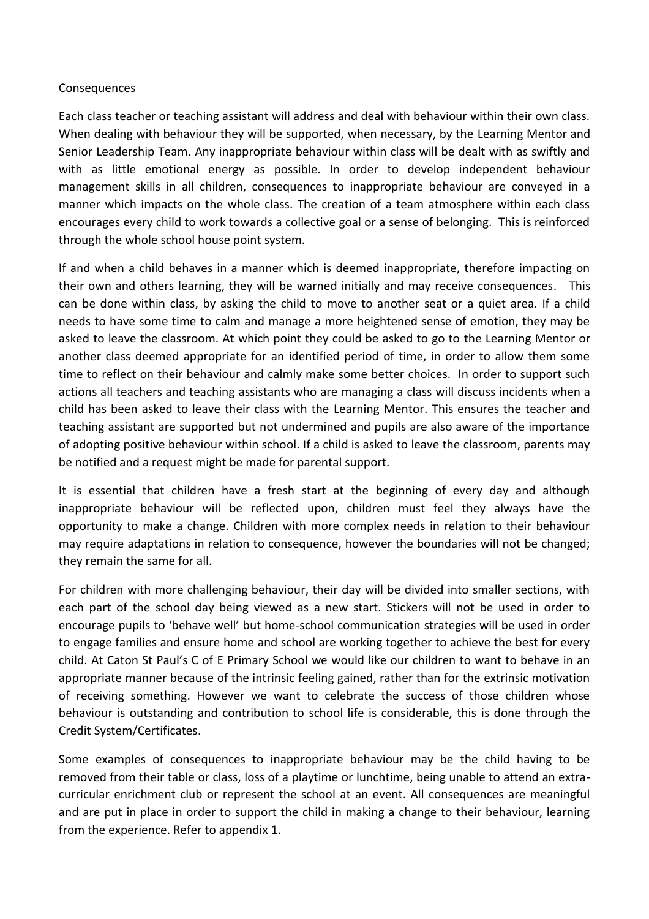#### Consequences

Each class teacher or teaching assistant will address and deal with behaviour within their own class. When dealing with behaviour they will be supported, when necessary, by the Learning Mentor and Senior Leadership Team. Any inappropriate behaviour within class will be dealt with as swiftly and with as little emotional energy as possible. In order to develop independent behaviour management skills in all children, consequences to inappropriate behaviour are conveyed in a manner which impacts on the whole class. The creation of a team atmosphere within each class encourages every child to work towards a collective goal or a sense of belonging. This is reinforced through the whole school house point system.

If and when a child behaves in a manner which is deemed inappropriate, therefore impacting on their own and others learning, they will be warned initially and may receive consequences. This can be done within class, by asking the child to move to another seat or a quiet area. If a child needs to have some time to calm and manage a more heightened sense of emotion, they may be asked to leave the classroom. At which point they could be asked to go to the Learning Mentor or another class deemed appropriate for an identified period of time, in order to allow them some time to reflect on their behaviour and calmly make some better choices. In order to support such actions all teachers and teaching assistants who are managing a class will discuss incidents when a child has been asked to leave their class with the Learning Mentor. This ensures the teacher and teaching assistant are supported but not undermined and pupils are also aware of the importance of adopting positive behaviour within school. If a child is asked to leave the classroom, parents may be notified and a request might be made for parental support.

It is essential that children have a fresh start at the beginning of every day and although inappropriate behaviour will be reflected upon, children must feel they always have the opportunity to make a change. Children with more complex needs in relation to their behaviour may require adaptations in relation to consequence, however the boundaries will not be changed; they remain the same for all.

For children with more challenging behaviour, their day will be divided into smaller sections, with each part of the school day being viewed as a new start. Stickers will not be used in order to encourage pupils to 'behave well' but home-school communication strategies will be used in order to engage families and ensure home and school are working together to achieve the best for every child. At Caton St Paul's C of E Primary School we would like our children to want to behave in an appropriate manner because of the intrinsic feeling gained, rather than for the extrinsic motivation of receiving something. However we want to celebrate the success of those children whose behaviour is outstanding and contribution to school life is considerable, this is done through the Credit System/Certificates.

Some examples of consequences to inappropriate behaviour may be the child having to be removed from their table or class, loss of a playtime or lunchtime, being unable to attend an extracurricular enrichment club or represent the school at an event. All consequences are meaningful and are put in place in order to support the child in making a change to their behaviour, learning from the experience. Refer to appendix 1.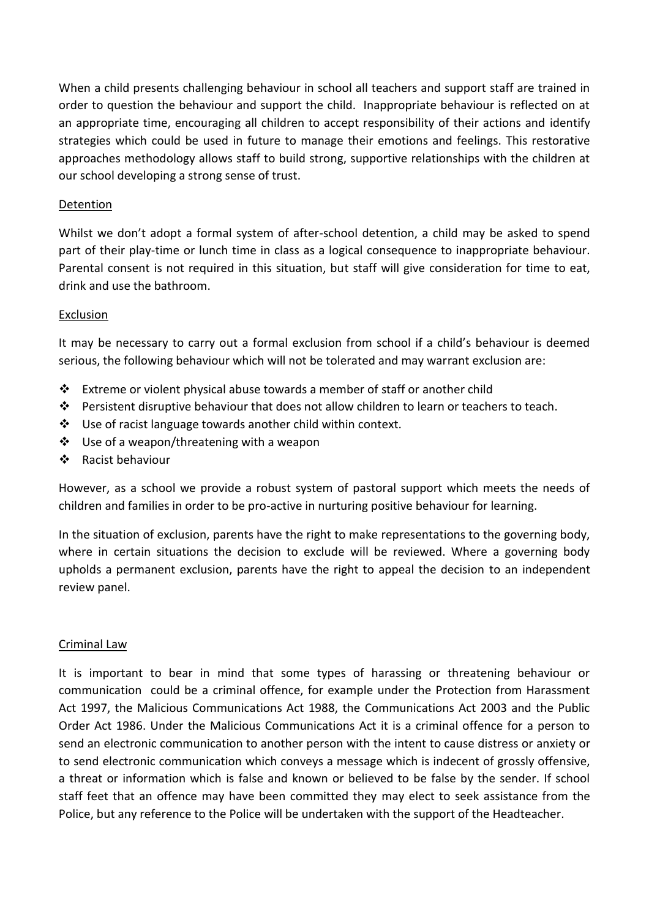When a child presents challenging behaviour in school all teachers and support staff are trained in order to question the behaviour and support the child. Inappropriate behaviour is reflected on at an appropriate time, encouraging all children to accept responsibility of their actions and identify strategies which could be used in future to manage their emotions and feelings. This restorative approaches methodology allows staff to build strong, supportive relationships with the children at our school developing a strong sense of trust.

## Detention

Whilst we don't adopt a formal system of after-school detention, a child may be asked to spend part of their play-time or lunch time in class as a logical consequence to inappropriate behaviour. Parental consent is not required in this situation, but staff will give consideration for time to eat, drink and use the bathroom.

## Exclusion

It may be necessary to carry out a formal exclusion from school if a child's behaviour is deemed serious, the following behaviour which will not be tolerated and may warrant exclusion are:

- ❖ Extreme or violent physical abuse towards a member of staff or another child
- ❖ Persistent disruptive behaviour that does not allow children to learn or teachers to teach.
- ❖ Use of racist language towards another child within context.
- ❖ Use of a weapon/threatening with a weapon
- ❖ Racist behaviour

However, as a school we provide a robust system of pastoral support which meets the needs of children and families in order to be pro-active in nurturing positive behaviour for learning.

In the situation of exclusion, parents have the right to make representations to the governing body, where in certain situations the decision to exclude will be reviewed. Where a governing body upholds a permanent exclusion, parents have the right to appeal the decision to an independent review panel.

#### Criminal Law

It is important to bear in mind that some types of harassing or threatening behaviour or communication could be a criminal offence, for example under the Protection from Harassment Act 1997, the Malicious Communications Act 1988, the Communications Act 2003 and the Public Order Act 1986. Under the Malicious Communications Act it is a criminal offence for a person to send an electronic communication to another person with the intent to cause distress or anxiety or to send electronic communication which conveys a message which is indecent of grossly offensive, a threat or information which is false and known or believed to be false by the sender. If school staff feet that an offence may have been committed they may elect to seek assistance from the Police, but any reference to the Police will be undertaken with the support of the Headteacher.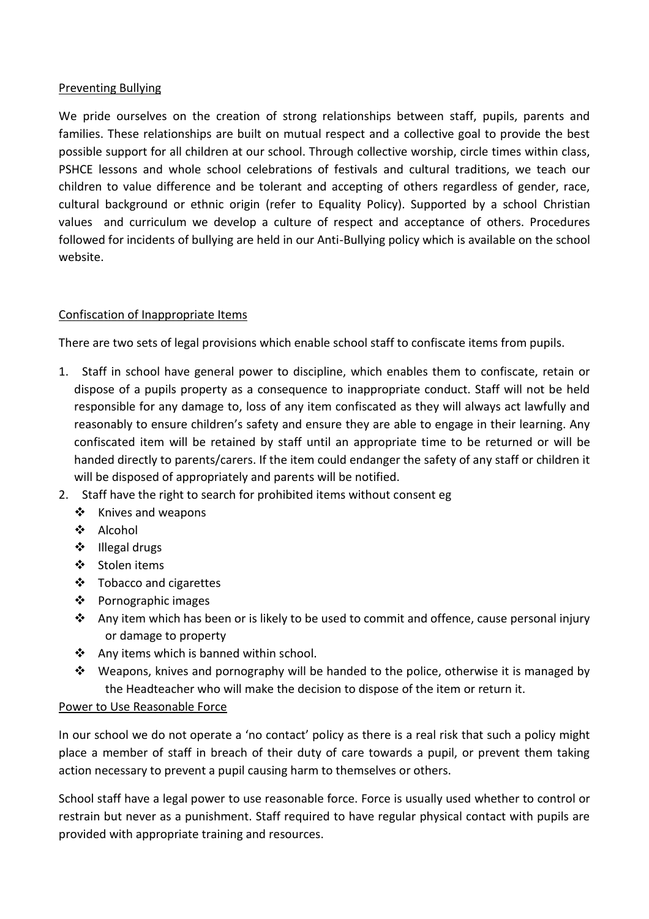## Preventing Bullying

We pride ourselves on the creation of strong relationships between staff, pupils, parents and families. These relationships are built on mutual respect and a collective goal to provide the best possible support for all children at our school. Through collective worship, circle times within class, PSHCE lessons and whole school celebrations of festivals and cultural traditions, we teach our children to value difference and be tolerant and accepting of others regardless of gender, race, cultural background or ethnic origin (refer to Equality Policy). Supported by a school Christian values and curriculum we develop a culture of respect and acceptance of others. Procedures followed for incidents of bullying are held in our Anti-Bullying policy which is available on the school website.

## Confiscation of Inappropriate Items

There are two sets of legal provisions which enable school staff to confiscate items from pupils.

- 1. Staff in school have general power to discipline, which enables them to confiscate, retain or dispose of a pupils property as a consequence to inappropriate conduct. Staff will not be held responsible for any damage to, loss of any item confiscated as they will always act lawfully and reasonably to ensure children's safety and ensure they are able to engage in their learning. Any confiscated item will be retained by staff until an appropriate time to be returned or will be handed directly to parents/carers. If the item could endanger the safety of any staff or children it will be disposed of appropriately and parents will be notified.
- 2. Staff have the right to search for prohibited items without consent eg
	- ❖ Knives and weapons
	- ❖ Alcohol
	- ❖ Illegal drugs
	- ❖ Stolen items
	- ❖ Tobacco and cigarettes
	- ❖ Pornographic images
	- ◆ Any item which has been or is likely to be used to commit and offence, cause personal injury or damage to property
	- ❖ Any items which is banned within school.
	- $\dots$  Weapons, knives and pornography will be handed to the police, otherwise it is managed by the Headteacher who will make the decision to dispose of the item or return it.

## Power to Use Reasonable Force

In our school we do not operate a 'no contact' policy as there is a real risk that such a policy might place a member of staff in breach of their duty of care towards a pupil, or prevent them taking action necessary to prevent a pupil causing harm to themselves or others.

School staff have a legal power to use reasonable force. Force is usually used whether to control or restrain but never as a punishment. Staff required to have regular physical contact with pupils are provided with appropriate training and resources.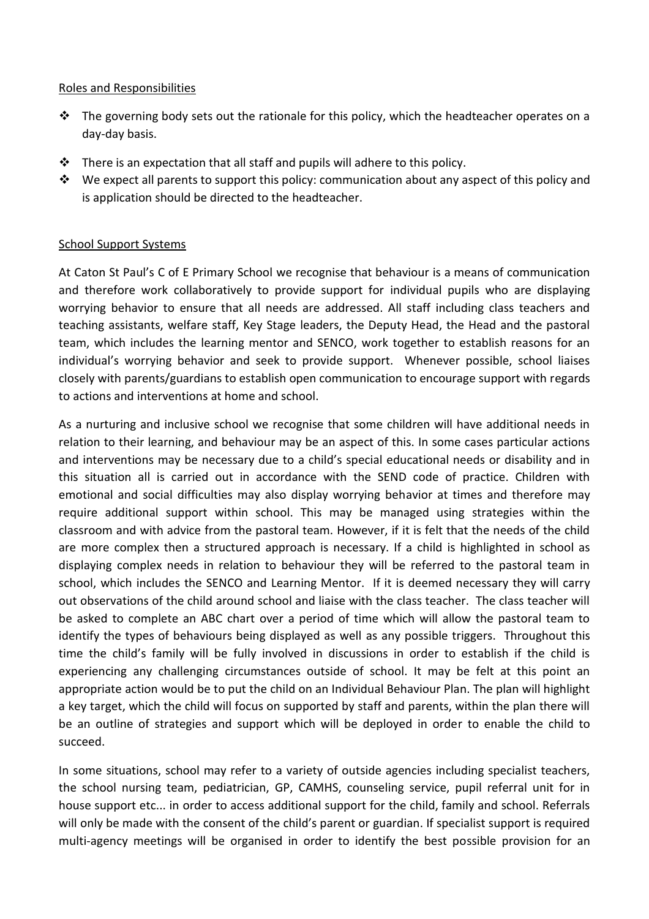#### Roles and Responsibilities

- $\cdot \cdot$  The governing body sets out the rationale for this policy, which the headteacher operates on a day-day basis.
- ❖ There is an expectation that all staff and pupils will adhere to this policy.
- $\mathbf{\hat{P}}$  We expect all parents to support this policy: communication about any aspect of this policy and is application should be directed to the headteacher.

## School Support Systems

At Caton St Paul's C of E Primary School we recognise that behaviour is a means of communication and therefore work collaboratively to provide support for individual pupils who are displaying worrying behavior to ensure that all needs are addressed. All staff including class teachers and teaching assistants, welfare staff, Key Stage leaders, the Deputy Head, the Head and the pastoral team, which includes the learning mentor and SENCO, work together to establish reasons for an individual's worrying behavior and seek to provide support. Whenever possible, school liaises closely with parents/guardians to establish open communication to encourage support with regards to actions and interventions at home and school.

As a nurturing and inclusive school we recognise that some children will have additional needs in relation to their learning, and behaviour may be an aspect of this. In some cases particular actions and interventions may be necessary due to a child's special educational needs or disability and in this situation all is carried out in accordance with the SEND code of practice. Children with emotional and social difficulties may also display worrying behavior at times and therefore may require additional support within school. This may be managed using strategies within the classroom and with advice from the pastoral team. However, if it is felt that the needs of the child are more complex then a structured approach is necessary. If a child is highlighted in school as displaying complex needs in relation to behaviour they will be referred to the pastoral team in school, which includes the SENCO and Learning Mentor. If it is deemed necessary they will carry out observations of the child around school and liaise with the class teacher. The class teacher will be asked to complete an ABC chart over a period of time which will allow the pastoral team to identify the types of behaviours being displayed as well as any possible triggers. Throughout this time the child's family will be fully involved in discussions in order to establish if the child is experiencing any challenging circumstances outside of school. It may be felt at this point an appropriate action would be to put the child on an Individual Behaviour Plan. The plan will highlight a key target, which the child will focus on supported by staff and parents, within the plan there will be an outline of strategies and support which will be deployed in order to enable the child to succeed.

In some situations, school may refer to a variety of outside agencies including specialist teachers, the school nursing team, pediatrician, GP, CAMHS, counseling service, pupil referral unit for in house support etc... in order to access additional support for the child, family and school. Referrals will only be made with the consent of the child's parent or guardian. If specialist support is required multi-agency meetings will be organised in order to identify the best possible provision for an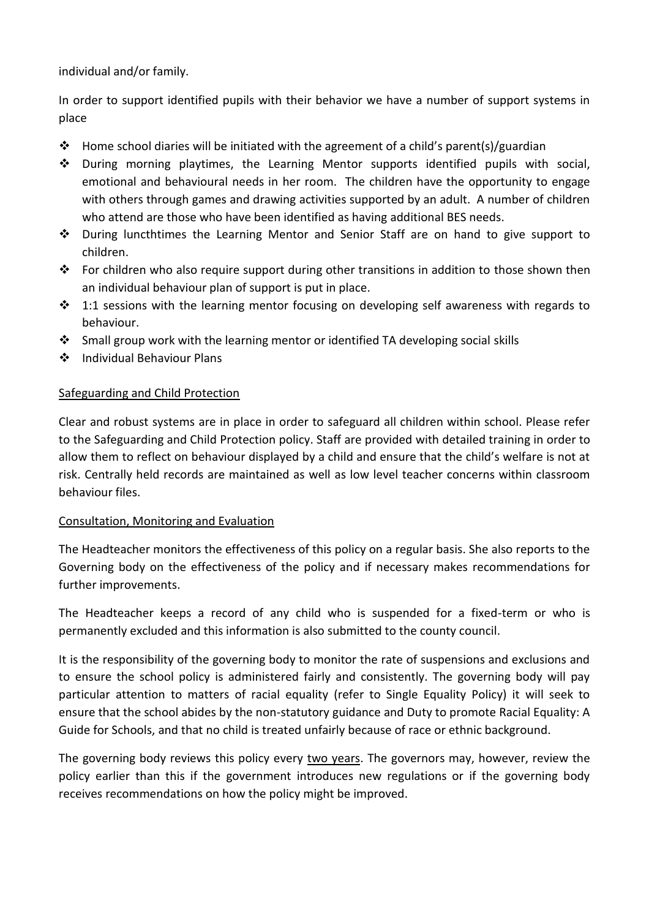individual and/or family.

In order to support identified pupils with their behavior we have a number of support systems in place

- **❖** Home school diaries will be initiated with the agreement of a child's parent(s)/guardian
- ❖ During morning playtimes, the Learning Mentor supports identified pupils with social, emotional and behavioural needs in her room. The children have the opportunity to engage with others through games and drawing activities supported by an adult. A number of children who attend are those who have been identified as having additional BES needs.
- ❖ During luncthtimes the Learning Mentor and Senior Staff are on hand to give support to children.
- $\dots$  For children who also require support during other transitions in addition to those shown then an individual behaviour plan of support is put in place.
- $\cdot \cdot$  1:1 sessions with the learning mentor focusing on developing self awareness with regards to behaviour.
- ❖ Small group work with the learning mentor or identified TA developing social skills
- ❖ Individual Behaviour Plans

## Safeguarding and Child Protection

Clear and robust systems are in place in order to safeguard all children within school. Please refer to the Safeguarding and Child Protection policy. Staff are provided with detailed training in order to allow them to reflect on behaviour displayed by a child and ensure that the child's welfare is not at risk. Centrally held records are maintained as well as low level teacher concerns within classroom behaviour files.

#### Consultation, Monitoring and Evaluation

The Headteacher monitors the effectiveness of this policy on a regular basis. She also reports to the Governing body on the effectiveness of the policy and if necessary makes recommendations for further improvements.

The Headteacher keeps a record of any child who is suspended for a fixed-term or who is permanently excluded and this information is also submitted to the county council.

It is the responsibility of the governing body to monitor the rate of suspensions and exclusions and to ensure the school policy is administered fairly and consistently. The governing body will pay particular attention to matters of racial equality (refer to Single Equality Policy) it will seek to ensure that the school abides by the non-statutory guidance and Duty to promote Racial Equality: A Guide for Schools, and that no child is treated unfairly because of race or ethnic background.

The governing body reviews this policy every two years. The governors may, however, review the policy earlier than this if the government introduces new regulations or if the governing body receives recommendations on how the policy might be improved.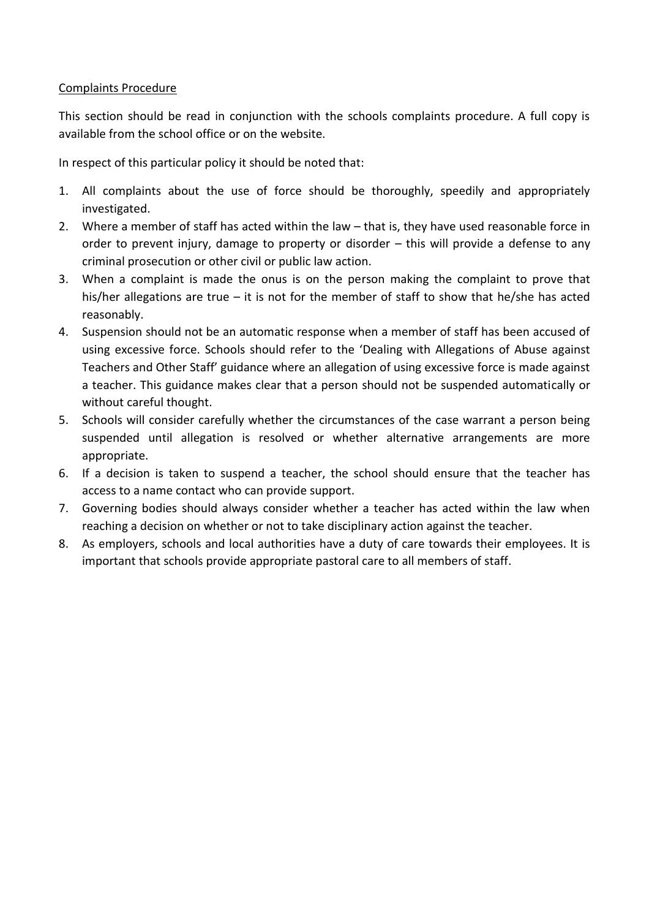## Complaints Procedure

This section should be read in conjunction with the schools complaints procedure. A full copy is available from the school office or on the website.

In respect of this particular policy it should be noted that:

- 1. All complaints about the use of force should be thoroughly, speedily and appropriately investigated.
- 2. Where a member of staff has acted within the law that is, they have used reasonable force in order to prevent injury, damage to property or disorder – this will provide a defense to any criminal prosecution or other civil or public law action.
- 3. When a complaint is made the onus is on the person making the complaint to prove that his/her allegations are true – it is not for the member of staff to show that he/she has acted reasonably.
- 4. Suspension should not be an automatic response when a member of staff has been accused of using excessive force. Schools should refer to the 'Dealing with Allegations of Abuse against Teachers and Other Staff' guidance where an allegation of using excessive force is made against a teacher. This guidance makes clear that a person should not be suspended automatically or without careful thought.
- 5. Schools will consider carefully whether the circumstances of the case warrant a person being suspended until allegation is resolved or whether alternative arrangements are more appropriate.
- 6. If a decision is taken to suspend a teacher, the school should ensure that the teacher has access to a name contact who can provide support.
- 7. Governing bodies should always consider whether a teacher has acted within the law when reaching a decision on whether or not to take disciplinary action against the teacher.
- 8. As employers, schools and local authorities have a duty of care towards their employees. It is important that schools provide appropriate pastoral care to all members of staff.